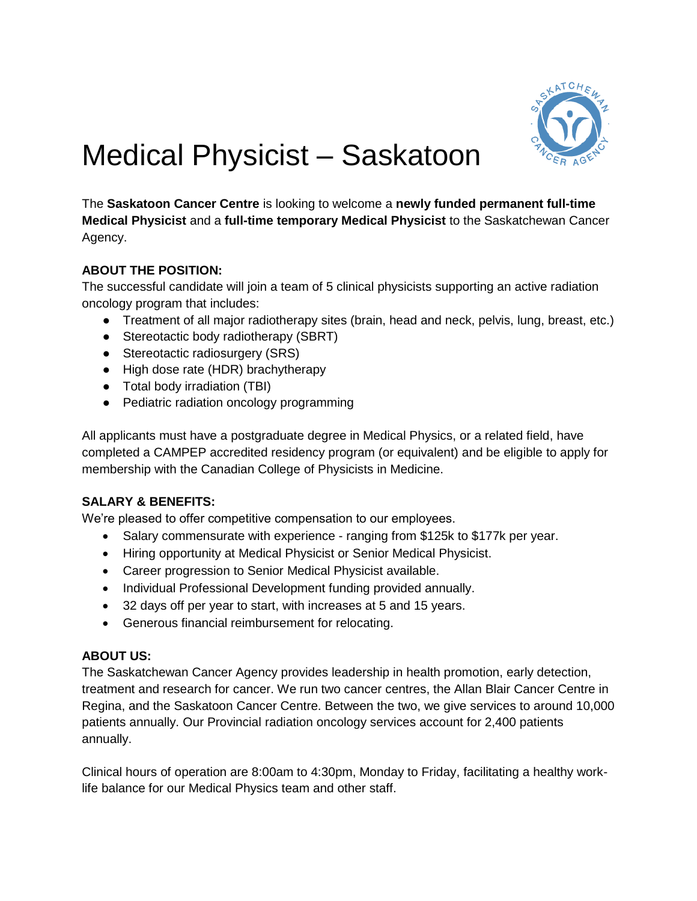

# Medical Physicist – Saskatoon

The **Saskatoon Cancer Centre** is looking to welcome a **newly funded permanent full-time Medical Physicist** and a **full-time temporary Medical Physicist** to the Saskatchewan Cancer Agency.

# **ABOUT THE POSITION:**

The successful candidate will join a team of 5 clinical physicists supporting an active radiation oncology program that includes:

- Treatment of all major radiotherapy sites (brain, head and neck, pelvis, lung, breast, etc.)
- Stereotactic body radiotherapy (SBRT)
- Stereotactic radiosurgery (SRS)
- High dose rate (HDR) brachytherapy
- Total body irradiation (TBI)
- Pediatric radiation oncology programming

All applicants must have a postgraduate degree in Medical Physics, or a related field, have completed a CAMPEP accredited residency program (or equivalent) and be eligible to apply for membership with the Canadian College of Physicists in Medicine.

### **SALARY & BENEFITS:**

We're pleased to offer competitive compensation to our employees.

- Salary commensurate with experience ranging from \$125k to \$177k per year.
- Hiring opportunity at Medical Physicist or Senior Medical Physicist.
- Career progression to Senior Medical Physicist available.
- Individual Professional Development funding provided annually.
- 32 days off per year to start, with increases at 5 and 15 years.
- Generous financial reimbursement for relocating.

### **ABOUT US:**

The Saskatchewan Cancer Agency provides leadership in health promotion, early detection, treatment and research for cancer. We run two cancer centres, the Allan Blair Cancer Centre in Regina, and the Saskatoon Cancer Centre. Between the two, we give services to around 10,000 patients annually. Our Provincial radiation oncology services account for 2,400 patients annually.

Clinical hours of operation are 8:00am to 4:30pm, Monday to Friday, facilitating a healthy worklife balance for our Medical Physics team and other staff.